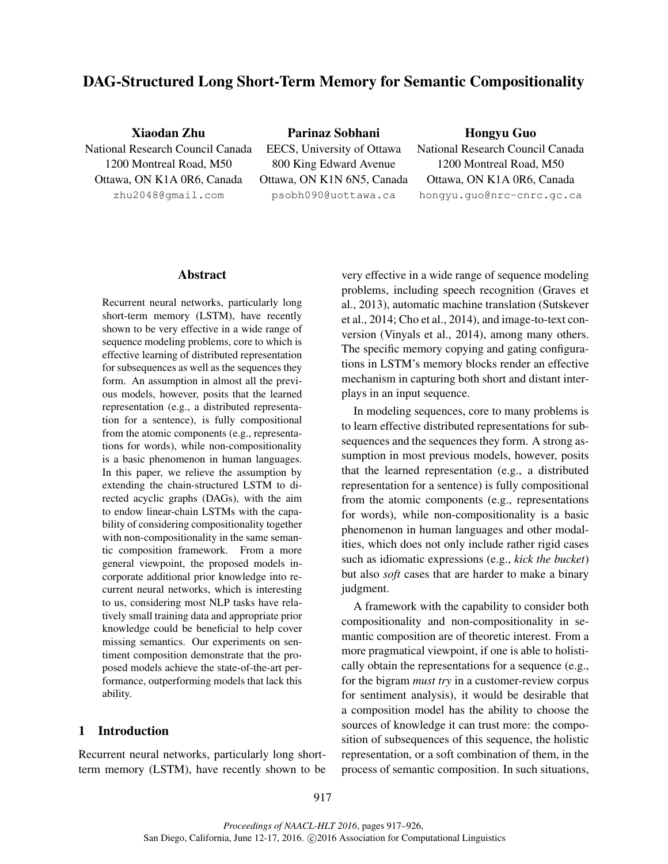# DAG-Structured Long Short-Term Memory for Semantic Compositionality

Xiaodan Zhu National Research Council Canada 1200 Montreal Road, M50 Ottawa, ON K1A 0R6, Canada zhu2048@gmail.com

Parinaz Sobhani EECS, University of Ottawa 800 King Edward Avenue Ottawa, ON K1N 6N5, Canada psobh090@uottawa.ca

# Hongyu Guo

National Research Council Canada 1200 Montreal Road, M50 Ottawa, ON K1A 0R6, Canada hongyu.guo@nrc-cnrc.gc.ca

#### Abstract

Recurrent neural networks, particularly long short-term memory (LSTM), have recently shown to be very effective in a wide range of sequence modeling problems, core to which is effective learning of distributed representation for subsequences as well as the sequences they form. An assumption in almost all the previous models, however, posits that the learned representation (e.g., a distributed representation for a sentence), is fully compositional from the atomic components (e.g., representations for words), while non-compositionality is a basic phenomenon in human languages. In this paper, we relieve the assumption by extending the chain-structured LSTM to directed acyclic graphs (DAGs), with the aim to endow linear-chain LSTMs with the capability of considering compositionality together with non-compositionality in the same semantic composition framework. From a more general viewpoint, the proposed models incorporate additional prior knowledge into recurrent neural networks, which is interesting to us, considering most NLP tasks have relatively small training data and appropriate prior knowledge could be beneficial to help cover missing semantics. Our experiments on sentiment composition demonstrate that the proposed models achieve the state-of-the-art performance, outperforming models that lack this ability.

# 1 Introduction

Recurrent neural networks, particularly long shortterm memory (LSTM), have recently shown to be very effective in a wide range of sequence modeling problems, including speech recognition (Graves et al., 2013), automatic machine translation (Sutskever et al., 2014; Cho et al., 2014), and image-to-text conversion (Vinyals et al., 2014), among many others. The specific memory copying and gating configurations in LSTM's memory blocks render an effective mechanism in capturing both short and distant interplays in an input sequence.

In modeling sequences, core to many problems is to learn effective distributed representations for subsequences and the sequences they form. A strong assumption in most previous models, however, posits that the learned representation (e.g., a distributed representation for a sentence) is fully compositional from the atomic components (e.g., representations for words), while non-compositionality is a basic phenomenon in human languages and other modalities, which does not only include rather rigid cases such as idiomatic expressions (e.g., *kick the bucket*) but also *soft* cases that are harder to make a binary judgment.

A framework with the capability to consider both compositionality and non-compositionality in semantic composition are of theoretic interest. From a more pragmatical viewpoint, if one is able to holistically obtain the representations for a sequence (e.g., for the bigram *must try* in a customer-review corpus for sentiment analysis), it would be desirable that a composition model has the ability to choose the sources of knowledge it can trust more: the composition of subsequences of this sequence, the holistic representation, or a soft combination of them, in the process of semantic composition. In such situations,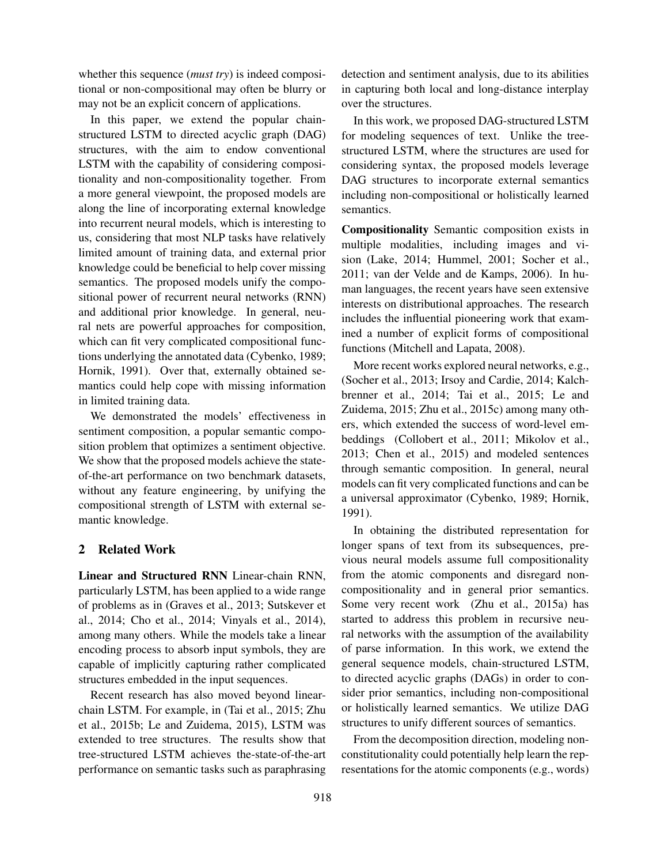whether this sequence (*must try*) is indeed compositional or non-compositional may often be blurry or may not be an explicit concern of applications.

In this paper, we extend the popular chainstructured LSTM to directed acyclic graph (DAG) structures, with the aim to endow conventional LSTM with the capability of considering compositionality and non-compositionality together. From a more general viewpoint, the proposed models are along the line of incorporating external knowledge into recurrent neural models, which is interesting to us, considering that most NLP tasks have relatively limited amount of training data, and external prior knowledge could be beneficial to help cover missing semantics. The proposed models unify the compositional power of recurrent neural networks (RNN) and additional prior knowledge. In general, neural nets are powerful approaches for composition, which can fit very complicated compositional functions underlying the annotated data (Cybenko, 1989; Hornik, 1991). Over that, externally obtained semantics could help cope with missing information in limited training data.

We demonstrated the models' effectiveness in sentiment composition, a popular semantic composition problem that optimizes a sentiment objective. We show that the proposed models achieve the stateof-the-art performance on two benchmark datasets, without any feature engineering, by unifying the compositional strength of LSTM with external semantic knowledge.

# 2 Related Work

Linear and Structured RNN Linear-chain RNN, particularly LSTM, has been applied to a wide range of problems as in (Graves et al., 2013; Sutskever et al., 2014; Cho et al., 2014; Vinyals et al., 2014), among many others. While the models take a linear encoding process to absorb input symbols, they are capable of implicitly capturing rather complicated structures embedded in the input sequences.

Recent research has also moved beyond linearchain LSTM. For example, in (Tai et al., 2015; Zhu et al., 2015b; Le and Zuidema, 2015), LSTM was extended to tree structures. The results show that tree-structured LSTM achieves the-state-of-the-art performance on semantic tasks such as paraphrasing

detection and sentiment analysis, due to its abilities in capturing both local and long-distance interplay over the structures.

In this work, we proposed DAG-structured LSTM for modeling sequences of text. Unlike the treestructured LSTM, where the structures are used for considering syntax, the proposed models leverage DAG structures to incorporate external semantics including non-compositional or holistically learned semantics.

Compositionality Semantic composition exists in multiple modalities, including images and vision (Lake, 2014; Hummel, 2001; Socher et al., 2011; van der Velde and de Kamps, 2006). In human languages, the recent years have seen extensive interests on distributional approaches. The research includes the influential pioneering work that examined a number of explicit forms of compositional functions (Mitchell and Lapata, 2008).

More recent works explored neural networks, e.g., (Socher et al., 2013; Irsoy and Cardie, 2014; Kalchbrenner et al., 2014; Tai et al., 2015; Le and Zuidema, 2015; Zhu et al., 2015c) among many others, which extended the success of word-level embeddings (Collobert et al., 2011; Mikolov et al., 2013; Chen et al., 2015) and modeled sentences through semantic composition. In general, neural models can fit very complicated functions and can be a universal approximator (Cybenko, 1989; Hornik, 1991).

In obtaining the distributed representation for longer spans of text from its subsequences, previous neural models assume full compositionality from the atomic components and disregard noncompositionality and in general prior semantics. Some very recent work (Zhu et al., 2015a) has started to address this problem in recursive neural networks with the assumption of the availability of parse information. In this work, we extend the general sequence models, chain-structured LSTM, to directed acyclic graphs (DAGs) in order to consider prior semantics, including non-compositional or holistically learned semantics. We utilize DAG structures to unify different sources of semantics.

From the decomposition direction, modeling nonconstitutionality could potentially help learn the representations for the atomic components (e.g., words)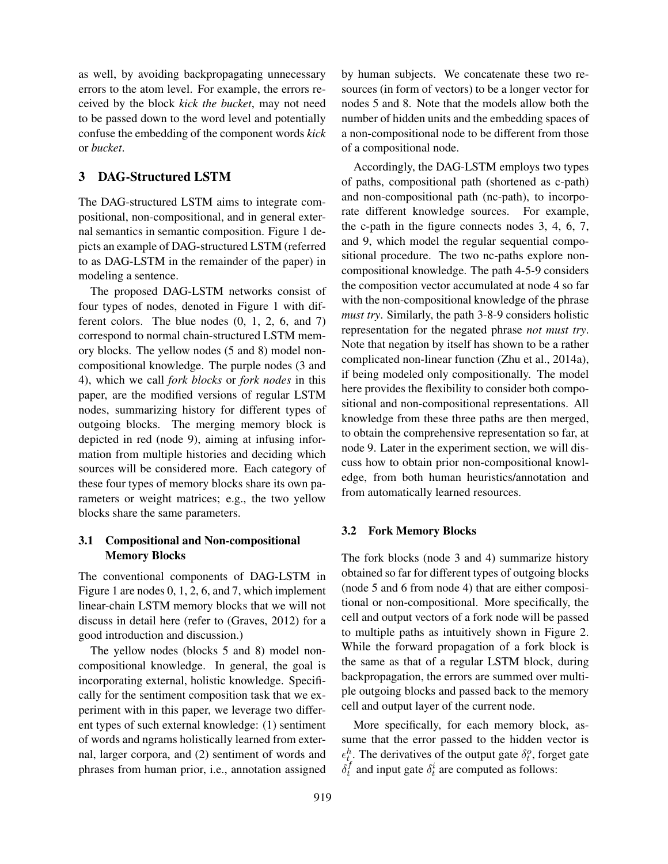as well, by avoiding backpropagating unnecessary errors to the atom level. For example, the errors received by the block *kick the bucket*, may not need to be passed down to the word level and potentially confuse the embedding of the component words *kick* or *bucket*.

# 3 DAG-Structured LSTM

The DAG-structured LSTM aims to integrate compositional, non-compositional, and in general external semantics in semantic composition. Figure 1 depicts an example of DAG-structured LSTM (referred to as DAG-LSTM in the remainder of the paper) in modeling a sentence.

The proposed DAG-LSTM networks consist of four types of nodes, denoted in Figure 1 with different colors. The blue nodes (0, 1, 2, 6, and 7) correspond to normal chain-structured LSTM memory blocks. The yellow nodes (5 and 8) model noncompositional knowledge. The purple nodes (3 and 4), which we call *fork blocks* or *fork nodes* in this paper, are the modified versions of regular LSTM nodes, summarizing history for different types of outgoing blocks. The merging memory block is depicted in red (node 9), aiming at infusing information from multiple histories and deciding which sources will be considered more. Each category of these four types of memory blocks share its own parameters or weight matrices; e.g., the two yellow blocks share the same parameters.

# 3.1 Compositional and Non-compositional Memory Blocks

The conventional components of DAG-LSTM in Figure 1 are nodes 0, 1, 2, 6, and 7, which implement linear-chain LSTM memory blocks that we will not discuss in detail here (refer to (Graves, 2012) for a good introduction and discussion.)

The yellow nodes (blocks 5 and 8) model noncompositional knowledge. In general, the goal is incorporating external, holistic knowledge. Specifically for the sentiment composition task that we experiment with in this paper, we leverage two different types of such external knowledge: (1) sentiment of words and ngrams holistically learned from external, larger corpora, and (2) sentiment of words and phrases from human prior, i.e., annotation assigned

by human subjects. We concatenate these two resources (in form of vectors) to be a longer vector for nodes 5 and 8. Note that the models allow both the number of hidden units and the embedding spaces of a non-compositional node to be different from those of a compositional node.

Accordingly, the DAG-LSTM employs two types of paths, compositional path (shortened as c-path) and non-compositional path (nc-path), to incorporate different knowledge sources. For example, the c-path in the figure connects nodes 3, 4, 6, 7, and 9, which model the regular sequential compositional procedure. The two nc-paths explore noncompositional knowledge. The path 4-5-9 considers the composition vector accumulated at node 4 so far with the non-compositional knowledge of the phrase *must try*. Similarly, the path 3-8-9 considers holistic representation for the negated phrase *not must try*. Note that negation by itself has shown to be a rather complicated non-linear function (Zhu et al., 2014a), if being modeled only compositionally. The model here provides the flexibility to consider both compositional and non-compositional representations. All knowledge from these three paths are then merged, to obtain the comprehensive representation so far, at node 9. Later in the experiment section, we will discuss how to obtain prior non-compositional knowledge, from both human heuristics/annotation and from automatically learned resources.

# 3.2 Fork Memory Blocks

The fork blocks (node 3 and 4) summarize history obtained so far for different types of outgoing blocks (node 5 and 6 from node 4) that are either compositional or non-compositional. More specifically, the cell and output vectors of a fork node will be passed to multiple paths as intuitively shown in Figure 2. While the forward propagation of a fork block is the same as that of a regular LSTM block, during backpropagation, the errors are summed over multiple outgoing blocks and passed back to the memory cell and output layer of the current node.

More specifically, for each memory block, assume that the error passed to the hidden vector is  $\epsilon_{t_i}^h$ . The derivatives of the output gate  $\delta_t^o$ , forget gate  $\delta_t^f$  $t_t$  and input gate  $\delta_t^i$  are computed as follows: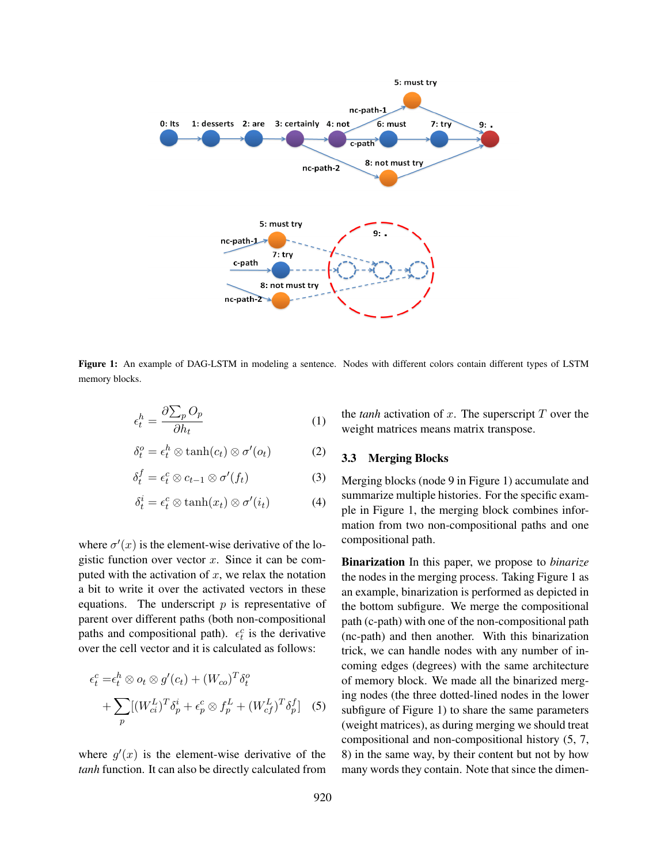

Figure 1: An example of DAG-LSTM in modeling a sentence. Nodes with different colors contain different types of LSTM memory blocks.

$$
\epsilon_t^h = \frac{\partial \sum_p O_p}{\partial h_t} \tag{1}
$$

$$
\delta_t^o = \epsilon_t^h \otimes \tanh(c_t) \otimes \sigma'(o_t) \tag{2}
$$

$$
\delta_t^f = \epsilon_t^c \otimes c_{t-1} \otimes \sigma'(f_t) \tag{3}
$$

$$
\delta_t^i = \epsilon_t^c \otimes \tanh(x_t) \otimes \sigma'(i_t) \tag{4}
$$

where  $\sigma'(x)$  is the element-wise derivative of the logistic function over vector  $x$ . Since it can be computed with the activation of  $x$ , we relax the notation a bit to write it over the activated vectors in these equations. The underscript  $p$  is representative of parent over different paths (both non-compositional paths and compositional path).  $\epsilon_t^c$  is the derivative over the cell vector and it is calculated as follows:

$$
\epsilon_t^c = \epsilon_t^h \otimes o_t \otimes g'(c_t) + (W_{co})^T \delta_t^o
$$

$$
+ \sum_p [(W_{ci}^L)^T \delta_p^i + \epsilon_p^c \otimes f_p^L + (W_{cf}^L)^T \delta_p^f] \quad (5)
$$

where  $g'(x)$  is the element-wise derivative of the *tanh* function. It can also be directly calculated from the *tanh* activation of  $x$ . The superscript  $T$  over the weight matrices means matrix transpose.

### 3.3 Merging Blocks

Merging blocks (node 9 in Figure 1) accumulate and summarize multiple histories. For the specific example in Figure 1, the merging block combines information from two non-compositional paths and one compositional path.

Binarization In this paper, we propose to *binarize* the nodes in the merging process. Taking Figure 1 as an example, binarization is performed as depicted in the bottom subfigure. We merge the compositional path (c-path) with one of the non-compositional path (nc-path) and then another. With this binarization trick, we can handle nodes with any number of incoming edges (degrees) with the same architecture of memory block. We made all the binarized merging nodes (the three dotted-lined nodes in the lower subfigure of Figure 1) to share the same parameters (weight matrices), as during merging we should treat compositional and non-compositional history (5, 7, 8) in the same way, by their content but not by how many words they contain. Note that since the dimen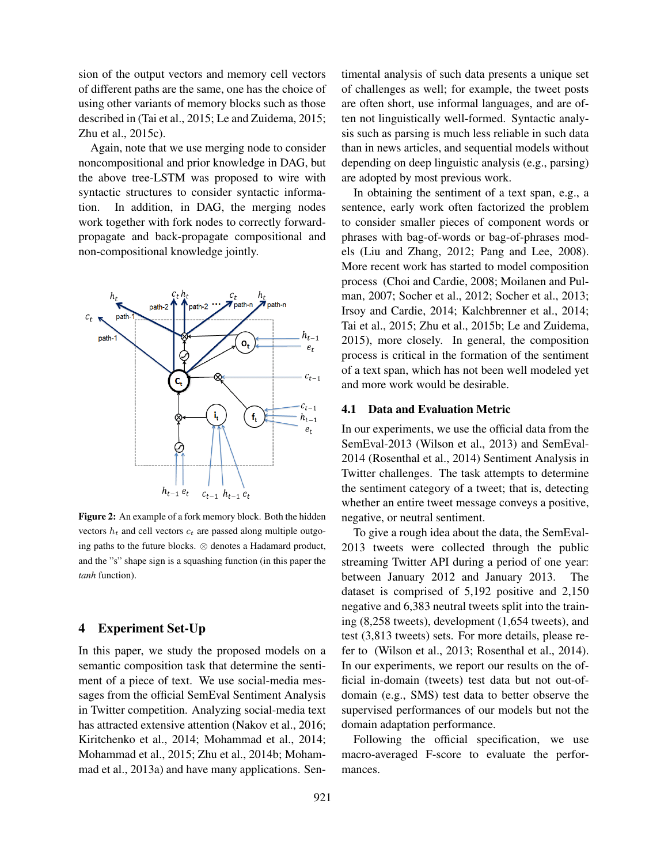sion of the output vectors and memory cell vectors of different paths are the same, one has the choice of using other variants of memory blocks such as those described in (Tai et al., 2015; Le and Zuidema, 2015; Zhu et al., 2015c).

Again, note that we use merging node to consider noncompositional and prior knowledge in DAG, but the above tree-LSTM was proposed to wire with syntactic structures to consider syntactic information. In addition, in DAG, the merging nodes work together with fork nodes to correctly forwardpropagate and back-propagate compositional and non-compositional knowledge jointly.



Figure 2: An example of a fork memory block. Both the hidden vectors  $h_t$  and cell vectors  $c_t$  are passed along multiple outgoing paths to the future blocks. ⊗ denotes a Hadamard product, and the "s" shape sign is a squashing function (in this paper the *tanh* function).

# 4 Experiment Set-Up

In this paper, we study the proposed models on a semantic composition task that determine the sentiment of a piece of text. We use social-media messages from the official SemEval Sentiment Analysis in Twitter competition. Analyzing social-media text has attracted extensive attention (Nakov et al., 2016; Kiritchenko et al., 2014; Mohammad et al., 2014; Mohammad et al., 2015; Zhu et al., 2014b; Mohammad et al., 2013a) and have many applications. Sentimental analysis of such data presents a unique set of challenges as well; for example, the tweet posts are often short, use informal languages, and are often not linguistically well-formed. Syntactic analysis such as parsing is much less reliable in such data than in news articles, and sequential models without depending on deep linguistic analysis (e.g., parsing) are adopted by most previous work.

In obtaining the sentiment of a text span, e.g., a sentence, early work often factorized the problem to consider smaller pieces of component words or phrases with bag-of-words or bag-of-phrases models (Liu and Zhang, 2012; Pang and Lee, 2008). More recent work has started to model composition process (Choi and Cardie, 2008; Moilanen and Pulman, 2007; Socher et al., 2012; Socher et al., 2013; Irsoy and Cardie, 2014; Kalchbrenner et al., 2014; Tai et al., 2015; Zhu et al., 2015b; Le and Zuidema, 2015), more closely. In general, the composition process is critical in the formation of the sentiment of a text span, which has not been well modeled yet and more work would be desirable.

#### 4.1 Data and Evaluation Metric

In our experiments, we use the official data from the SemEval-2013 (Wilson et al., 2013) and SemEval-2014 (Rosenthal et al., 2014) Sentiment Analysis in Twitter challenges. The task attempts to determine the sentiment category of a tweet; that is, detecting whether an entire tweet message conveys a positive, negative, or neutral sentiment.

To give a rough idea about the data, the SemEval-2013 tweets were collected through the public streaming Twitter API during a period of one year: between January 2012 and January 2013. The dataset is comprised of 5,192 positive and 2,150 negative and 6,383 neutral tweets split into the training (8,258 tweets), development (1,654 tweets), and test (3,813 tweets) sets. For more details, please refer to (Wilson et al., 2013; Rosenthal et al., 2014). In our experiments, we report our results on the official in-domain (tweets) test data but not out-ofdomain (e.g., SMS) test data to better observe the supervised performances of our models but not the domain adaptation performance.

Following the official specification, we use macro-averaged F-score to evaluate the performances.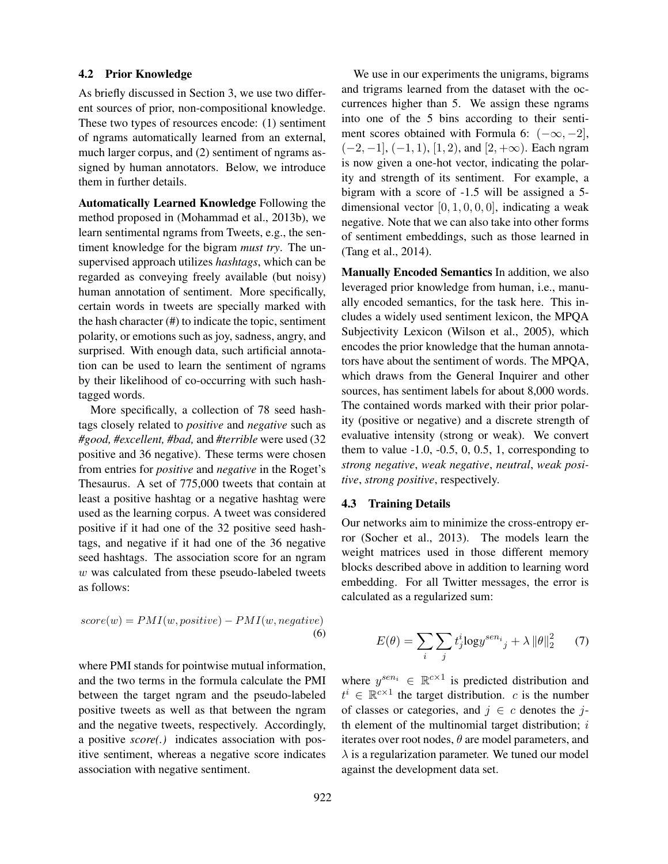#### 4.2 Prior Knowledge

As briefly discussed in Section 3, we use two different sources of prior, non-compositional knowledge. These two types of resources encode: (1) sentiment of ngrams automatically learned from an external, much larger corpus, and (2) sentiment of ngrams assigned by human annotators. Below, we introduce them in further details.

Automatically Learned Knowledge Following the method proposed in (Mohammad et al., 2013b), we learn sentimental ngrams from Tweets, e.g., the sentiment knowledge for the bigram *must try*. The unsupervised approach utilizes *hashtags*, which can be regarded as conveying freely available (but noisy) human annotation of sentiment. More specifically, certain words in tweets are specially marked with the hash character (#) to indicate the topic, sentiment polarity, or emotions such as joy, sadness, angry, and surprised. With enough data, such artificial annotation can be used to learn the sentiment of ngrams by their likelihood of co-occurring with such hashtagged words.

More specifically, a collection of 78 seed hashtags closely related to *positive* and *negative* such as *#good, #excellent, #bad,* and *#terrible* were used (32 positive and 36 negative). These terms were chosen from entries for *positive* and *negative* in the Roget's Thesaurus. A set of 775,000 tweets that contain at least a positive hashtag or a negative hashtag were used as the learning corpus. A tweet was considered positive if it had one of the 32 positive seed hashtags, and negative if it had one of the 36 negative seed hashtags. The association score for an ngram  $w$  was calculated from these pseudo-labeled tweets as follows:

$$
score(w) = PMI(w, positive) - PMI(w, negative)
$$
  
(6)

where PMI stands for pointwise mutual information, and the two terms in the formula calculate the PMI between the target ngram and the pseudo-labeled positive tweets as well as that between the ngram and the negative tweets, respectively. Accordingly, a positive *score(.)* indicates association with positive sentiment, whereas a negative score indicates association with negative sentiment.

We use in our experiments the unigrams, bigrams and trigrams learned from the dataset with the occurrences higher than 5. We assign these ngrams into one of the 5 bins according to their sentiment scores obtained with Formula 6:  $(-\infty, -2]$ ,  $(-2, -1]$ ,  $(-1, 1)$ ,  $[1, 2)$ , and  $[2, +\infty)$ . Each ngram is now given a one-hot vector, indicating the polarity and strength of its sentiment. For example, a bigram with a score of -1.5 will be assigned a 5 dimensional vector  $[0, 1, 0, 0, 0]$ , indicating a weak negative. Note that we can also take into other forms of sentiment embeddings, such as those learned in (Tang et al., 2014).

Manually Encoded Semantics In addition, we also leveraged prior knowledge from human, i.e., manually encoded semantics, for the task here. This includes a widely used sentiment lexicon, the MPQA Subjectivity Lexicon (Wilson et al., 2005), which encodes the prior knowledge that the human annotators have about the sentiment of words. The MPQA, which draws from the General Inquirer and other sources, has sentiment labels for about 8,000 words. The contained words marked with their prior polarity (positive or negative) and a discrete strength of evaluative intensity (strong or weak). We convert them to value  $-1.0, -0.5, 0, 0.5, 1$ , corresponding to *strong negative*, *weak negative*, *neutral*, *weak positive*, *strong positive*, respectively.

## 4.3 Training Details

Our networks aim to minimize the cross-entropy error (Socher et al., 2013). The models learn the weight matrices used in those different memory blocks described above in addition to learning word embedding. For all Twitter messages, the error is calculated as a regularized sum:

$$
E(\theta) = \sum_{i} \sum_{j} t_j^i \log y^{sen_i}{}_j + \lambda \|\theta\|_2^2 \qquad (7)
$$

where  $y^{sen_i} \in \mathbb{R}^{c \times 1}$  is predicted distribution and  $t^i \in \mathbb{R}^{c \times 1}$  the target distribution. c is the number of classes or categories, and  $j \in c$  denotes the jth element of the multinomial target distribution;  $i$ iterates over root nodes,  $\theta$  are model parameters, and  $\lambda$  is a regularization parameter. We tuned our model against the development data set.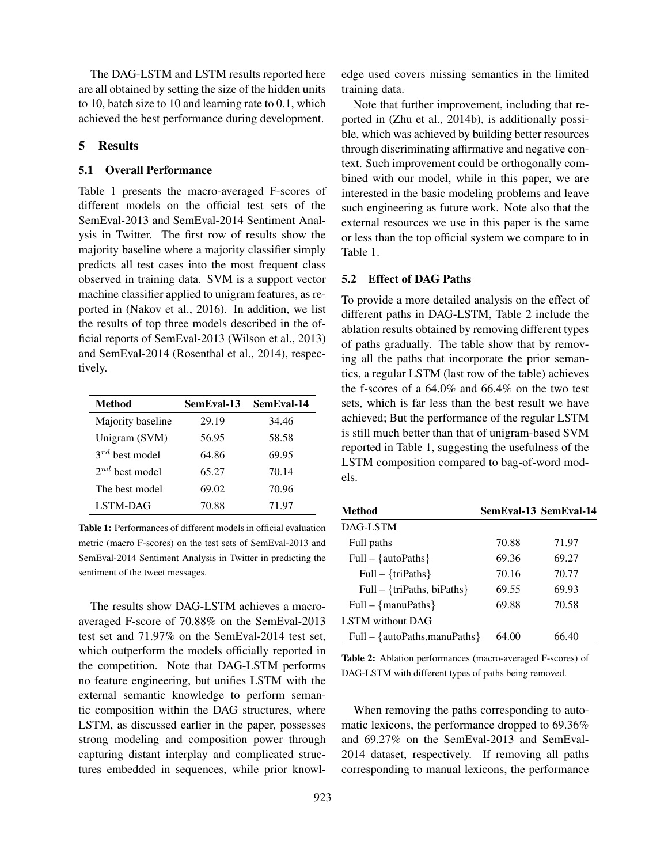The DAG-LSTM and LSTM results reported here are all obtained by setting the size of the hidden units to 10, batch size to 10 and learning rate to 0.1, which achieved the best performance during development.

# 5 Results

## 5.1 Overall Performance

Table 1 presents the macro-averaged F-scores of different models on the official test sets of the SemEval-2013 and SemEval-2014 Sentiment Analysis in Twitter. The first row of results show the majority baseline where a majority classifier simply predicts all test cases into the most frequent class observed in training data. SVM is a support vector machine classifier applied to unigram features, as reported in (Nakov et al., 2016). In addition, we list the results of top three models described in the official reports of SemEval-2013 (Wilson et al., 2013) and SemEval-2014 (Rosenthal et al., 2014), respectively.

| <b>Method</b>       | SemEval-13 | SemEval-14 |
|---------------------|------------|------------|
| Majority baseline   | 29.19      | 34.46      |
| Unigram (SVM)       | 56.95      | 58.58      |
| $3^{rd}$ best model | 64.86      | 69.95      |
| $2^{nd}$ best model | 65.27      | 70.14      |
| The best model      | 69.02      | 70.96      |
| LSTM-DAG            | 70.88      | 71.97      |

Table 1: Performances of different models in official evaluation metric (macro F-scores) on the test sets of SemEval-2013 and SemEval-2014 Sentiment Analysis in Twitter in predicting the sentiment of the tweet messages.

The results show DAG-LSTM achieves a macroaveraged F-score of 70.88% on the SemEval-2013 test set and 71.97% on the SemEval-2014 test set, which outperform the models officially reported in the competition. Note that DAG-LSTM performs no feature engineering, but unifies LSTM with the external semantic knowledge to perform semantic composition within the DAG structures, where LSTM, as discussed earlier in the paper, possesses strong modeling and composition power through capturing distant interplay and complicated structures embedded in sequences, while prior knowledge used covers missing semantics in the limited training data.

Note that further improvement, including that reported in (Zhu et al., 2014b), is additionally possible, which was achieved by building better resources through discriminating affirmative and negative context. Such improvement could be orthogonally combined with our model, while in this paper, we are interested in the basic modeling problems and leave such engineering as future work. Note also that the external resources we use in this paper is the same or less than the top official system we compare to in Table 1.

### 5.2 Effect of DAG Paths

To provide a more detailed analysis on the effect of different paths in DAG-LSTM, Table 2 include the ablation results obtained by removing different types of paths gradually. The table show that by removing all the paths that incorporate the prior semantics, a regular LSTM (last row of the table) achieves the f-scores of a 64.0% and 66.4% on the two test sets, which is far less than the best result we have achieved; But the performance of the regular LSTM is still much better than that of unigram-based SVM reported in Table 1, suggesting the usefulness of the LSTM composition compared to bag-of-word models.

| <b>Method</b>                   |       | SemEval-13 SemEval-14 |
|---------------------------------|-------|-----------------------|
| DAG-LSTM                        |       |                       |
| Full paths                      | 70.88 | 71.97                 |
| Full – { $autoPaths$ }          | 69.36 | 69.27                 |
| Full – $\{triPaths\}$           | 70.16 | 70.77                 |
| Full – {triPaths, biPaths}      | 69.55 | 69.93                 |
| Full – $\{manuPaths\}$          | 69.88 | 70.58                 |
| <b>LSTM</b> without DAG         |       |                       |
| $Full - {autoPaths, manuPaths}$ | 64.00 | 66.40                 |

Table 2: Ablation performances (macro-averaged F-scores) of DAG-LSTM with different types of paths being removed.

When removing the paths corresponding to automatic lexicons, the performance dropped to 69.36% and 69.27% on the SemEval-2013 and SemEval-2014 dataset, respectively. If removing all paths corresponding to manual lexicons, the performance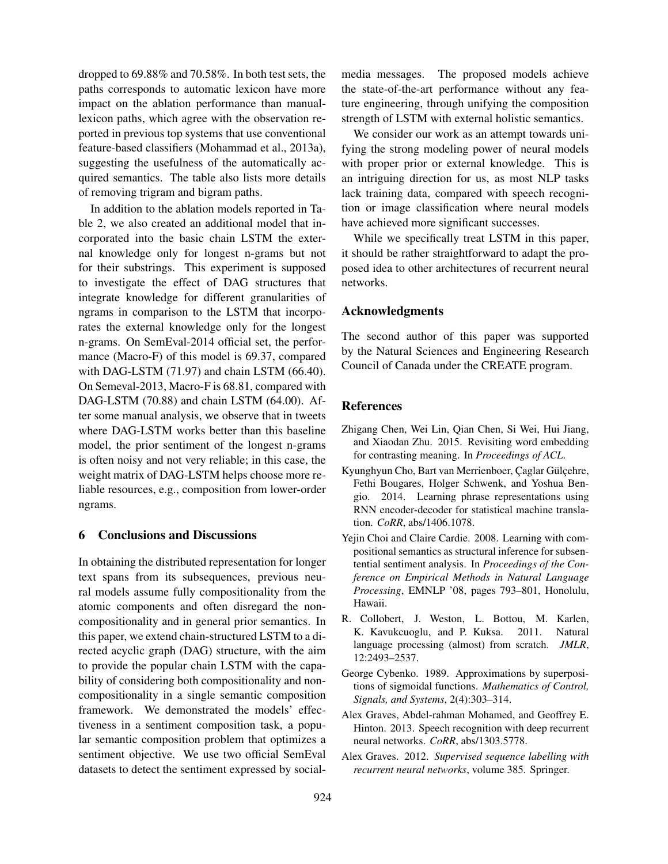dropped to 69.88% and 70.58%. In both test sets, the paths corresponds to automatic lexicon have more impact on the ablation performance than manuallexicon paths, which agree with the observation reported in previous top systems that use conventional feature-based classifiers (Mohammad et al., 2013a), suggesting the usefulness of the automatically acquired semantics. The table also lists more details of removing trigram and bigram paths.

In addition to the ablation models reported in Table 2, we also created an additional model that incorporated into the basic chain LSTM the external knowledge only for longest n-grams but not for their substrings. This experiment is supposed to investigate the effect of DAG structures that integrate knowledge for different granularities of ngrams in comparison to the LSTM that incorporates the external knowledge only for the longest n-grams. On SemEval-2014 official set, the performance (Macro-F) of this model is 69.37, compared with DAG-LSTM (71.97) and chain LSTM (66.40). On Semeval-2013, Macro-F is 68.81, compared with DAG-LSTM (70.88) and chain LSTM (64.00). After some manual analysis, we observe that in tweets where DAG-LSTM works better than this baseline model, the prior sentiment of the longest n-grams is often noisy and not very reliable; in this case, the weight matrix of DAG-LSTM helps choose more reliable resources, e.g., composition from lower-order ngrams.

# 6 Conclusions and Discussions

In obtaining the distributed representation for longer text spans from its subsequences, previous neural models assume fully compositionality from the atomic components and often disregard the noncompositionality and in general prior semantics. In this paper, we extend chain-structured LSTM to a directed acyclic graph (DAG) structure, with the aim to provide the popular chain LSTM with the capability of considering both compositionality and noncompositionality in a single semantic composition framework. We demonstrated the models' effectiveness in a sentiment composition task, a popular semantic composition problem that optimizes a sentiment objective. We use two official SemEval datasets to detect the sentiment expressed by socialmedia messages. The proposed models achieve the state-of-the-art performance without any feature engineering, through unifying the composition strength of LSTM with external holistic semantics.

We consider our work as an attempt towards unifying the strong modeling power of neural models with proper prior or external knowledge. This is an intriguing direction for us, as most NLP tasks lack training data, compared with speech recognition or image classification where neural models have achieved more significant successes.

While we specifically treat LSTM in this paper, it should be rather straightforward to adapt the proposed idea to other architectures of recurrent neural networks.

### Acknowledgments

The second author of this paper was supported by the Natural Sciences and Engineering Research Council of Canada under the CREATE program.

### References

- Zhigang Chen, Wei Lin, Qian Chen, Si Wei, Hui Jiang, and Xiaodan Zhu. 2015. Revisiting word embedding for contrasting meaning. In *Proceedings of ACL*.
- Kyunghyun Cho, Bart van Merrienboer, Caglar Gülcehre, Fethi Bougares, Holger Schwenk, and Yoshua Bengio. 2014. Learning phrase representations using RNN encoder-decoder for statistical machine translation. *CoRR*, abs/1406.1078.
- Yejin Choi and Claire Cardie. 2008. Learning with compositional semantics as structural inference for subsentential sentiment analysis. In *Proceedings of the Conference on Empirical Methods in Natural Language Processing*, EMNLP '08, pages 793–801, Honolulu, Hawaii.
- R. Collobert, J. Weston, L. Bottou, M. Karlen, K. Kavukcuoglu, and P. Kuksa. 2011. Natural language processing (almost) from scratch. *JMLR*, 12:2493–2537.
- George Cybenko. 1989. Approximations by superpositions of sigmoidal functions. *Mathematics of Control, Signals, and Systems*, 2(4):303–314.
- Alex Graves, Abdel-rahman Mohamed, and Geoffrey E. Hinton. 2013. Speech recognition with deep recurrent neural networks. *CoRR*, abs/1303.5778.
- Alex Graves. 2012. *Supervised sequence labelling with recurrent neural networks*, volume 385. Springer.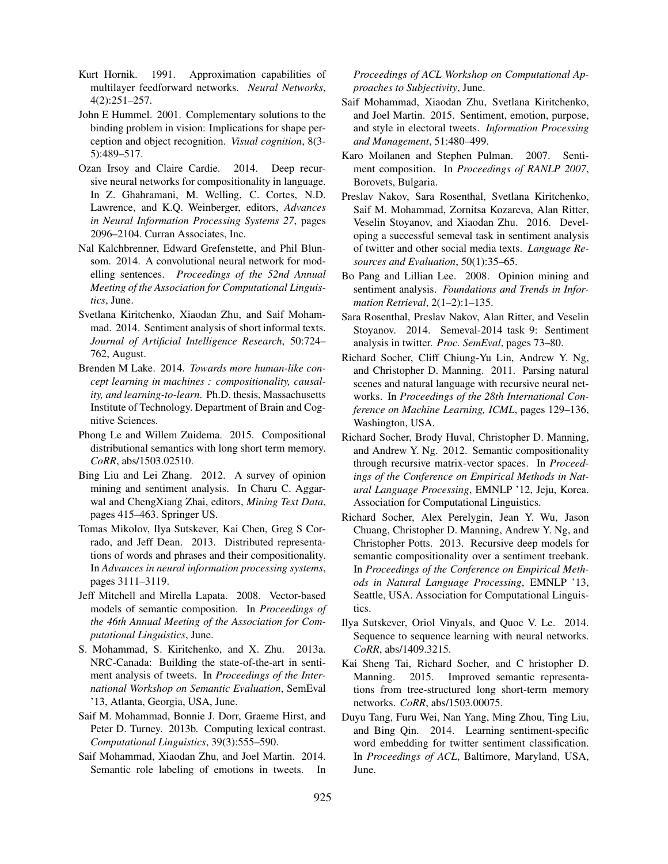- Kurt Hornik. 1991. Approximation capabilities of multilayer feedforward networks. *Neural Networks*, 4(2):251–257.
- John E Hummel. 2001. Complementary solutions to the binding problem in vision: Implications for shape perception and object recognition. *Visual cognition*, 8(3- 5):489–517.
- Ozan Irsoy and Claire Cardie. 2014. Deep recursive neural networks for compositionality in language. In Z. Ghahramani, M. Welling, C. Cortes, N.D. Lawrence, and K.Q. Weinberger, editors, *Advances in Neural Information Processing Systems 27*, pages 2096–2104. Curran Associates, Inc.
- Nal Kalchbrenner, Edward Grefenstette, and Phil Blunsom. 2014. A convolutional neural network for modelling sentences. *Proceedings of the 52nd Annual Meeting of the Association for Computational Linguistics*, June.
- Svetlana Kiritchenko, Xiaodan Zhu, and Saif Mohammad. 2014. Sentiment analysis of short informal texts. *Journal of Artificial Intelligence Research*, 50:724– 762, August.
- Brenden M Lake. 2014. *Towards more human-like concept learning in machines : compositionality, causality, and learning-to-learn*. Ph.D. thesis, Massachusetts Institute of Technology. Department of Brain and Cognitive Sciences.
- Phong Le and Willem Zuidema. 2015. Compositional distributional semantics with long short term memory. *CoRR*, abs/1503.02510.
- Bing Liu and Lei Zhang. 2012. A survey of opinion mining and sentiment analysis. In Charu C. Aggarwal and ChengXiang Zhai, editors, *Mining Text Data*, pages 415–463. Springer US.
- Tomas Mikolov, Ilya Sutskever, Kai Chen, Greg S Corrado, and Jeff Dean. 2013. Distributed representations of words and phrases and their compositionality. In *Advances in neural information processing systems*, pages 3111–3119.
- Jeff Mitchell and Mirella Lapata. 2008. Vector-based models of semantic composition. In *Proceedings of the 46th Annual Meeting of the Association for Computational Linguistics*, June.
- S. Mohammad, S. Kiritchenko, and X. Zhu. 2013a. NRC-Canada: Building the state-of-the-art in sentiment analysis of tweets. In *Proceedings of the International Workshop on Semantic Evaluation*, SemEval '13, Atlanta, Georgia, USA, June.
- Saif M. Mohammad, Bonnie J. Dorr, Graeme Hirst, and Peter D. Turney. 2013b. Computing lexical contrast. *Computational Linguistics*, 39(3):555–590.
- Saif Mohammad, Xiaodan Zhu, and Joel Martin. 2014. Semantic role labeling of emotions in tweets. In

*Proceedings of ACL Workshop on Computational Approaches to Subjectivity*, June.

- Saif Mohammad, Xiaodan Zhu, Svetlana Kiritchenko, and Joel Martin. 2015. Sentiment, emotion, purpose, and style in electoral tweets. *Information Processing and Management*, 51:480–499.
- Karo Moilanen and Stephen Pulman. 2007. Sentiment composition. In *Proceedings of RANLP 2007*, Borovets, Bulgaria.
- Preslav Nakov, Sara Rosenthal, Svetlana Kiritchenko, Saif M. Mohammad, Zornitsa Kozareva, Alan Ritter, Veselin Stoyanov, and Xiaodan Zhu. 2016. Developing a successful semeval task in sentiment analysis of twitter and other social media texts. *Language Resources and Evaluation*, 50(1):35–65.
- Bo Pang and Lillian Lee. 2008. Opinion mining and sentiment analysis. *Foundations and Trends in Information Retrieval*, 2(1–2):1–135.
- Sara Rosenthal, Preslav Nakov, Alan Ritter, and Veselin Stoyanov. 2014. Semeval-2014 task 9: Sentiment analysis in twitter. *Proc. SemEval*, pages 73–80.
- Richard Socher, Cliff Chiung-Yu Lin, Andrew Y. Ng, and Christopher D. Manning. 2011. Parsing natural scenes and natural language with recursive neural networks. In *Proceedings of the 28th International Conference on Machine Learning, ICML*, pages 129–136, Washington, USA.
- Richard Socher, Brody Huval, Christopher D. Manning, and Andrew Y. Ng. 2012. Semantic compositionality through recursive matrix-vector spaces. In *Proceedings of the Conference on Empirical Methods in Natural Language Processing*, EMNLP '12, Jeju, Korea. Association for Computational Linguistics.
- Richard Socher, Alex Perelygin, Jean Y. Wu, Jason Chuang, Christopher D. Manning, Andrew Y. Ng, and Christopher Potts. 2013. Recursive deep models for semantic compositionality over a sentiment treebank. In *Proceedings of the Conference on Empirical Methods in Natural Language Processing*, EMNLP '13, Seattle, USA. Association for Computational Linguistics.
- Ilya Sutskever, Oriol Vinyals, and Quoc V. Le. 2014. Sequence to sequence learning with neural networks. *CoRR*, abs/1409.3215.
- Kai Sheng Tai, Richard Socher, and C hristopher D. Manning. 2015. Improved semantic representations from tree-structured long short-term memory networks. *CoRR*, abs/1503.00075.
- Duyu Tang, Furu Wei, Nan Yang, Ming Zhou, Ting Liu, and Bing Qin. 2014. Learning sentiment-specific word embedding for twitter sentiment classification. In *Proceedings of ACL*, Baltimore, Maryland, USA, June.